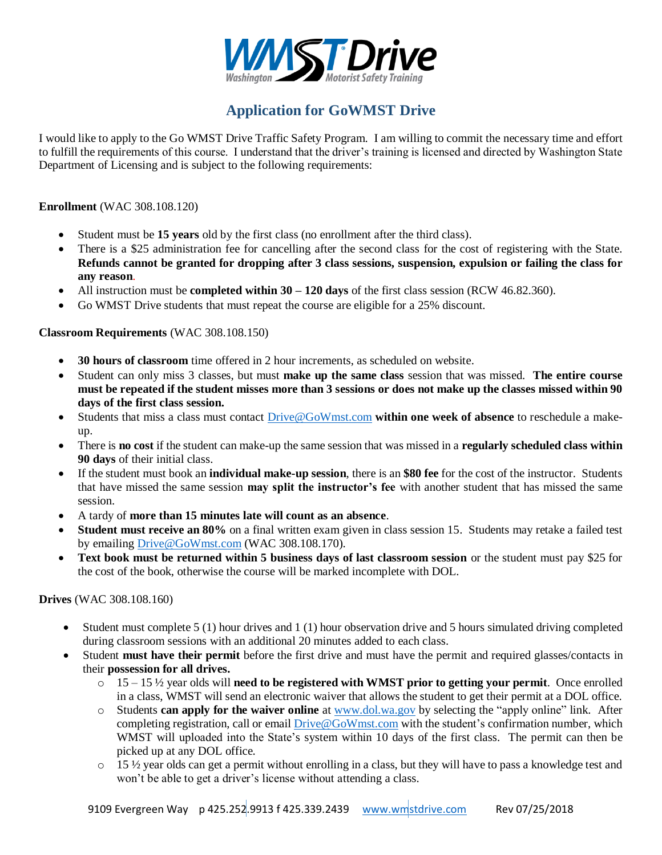

# **Application for GoWMST Drive**

I would like to apply to the Go WMST Drive Traffic Safety Program. I am willing to commit the necessary time and effort to fulfill the requirements of this course. I understand that the driver's training is licensed and directed by Washington State Department of Licensing and is subject to the following requirements:

#### **Enrollment** (WAC 308.108.120)

- Student must be **15 years** old by the first class (no enrollment after the third class).
- There is a \$25 administration fee for cancelling after the second class for the cost of registering with the State. **Refunds cannot be granted for dropping after 3 class sessions, suspension, expulsion or failing the class for any reason**.
- All instruction must be **completed within 30 – 120 days** of the first class session (RCW 46.82.360).
- Go WMST Drive students that must repeat the course are eligible for a 25% discount.

## **Classroom Requirements** (WAC 308.108.150)

- **30 hours of classroom** time offered in 2 hour increments, as scheduled on website.
- Student can only miss 3 classes, but must **make up the same class** session that was missed. **The entire course must be repeated if the student misses more than 3 sessions or does not make up the classes missed within 90 days of the first class session.**
- Students that miss a class must contact [Drive@GoWmst.com](mailto:Drive@GoWmst.com) **within one week of absence** to reschedule a makeup.
- There is **no cost** if the student can make-up the same session that was missed in a **regularly scheduled class within 90 days** of their initial class.
- If the student must book an **individual make-up session**, there is an **\$80 fee** for the cost of the instructor. Students that have missed the same session **may split the instructor's fee** with another student that has missed the same session.
- A tardy of **more than 15 minutes late will count as an absence**.
- **Student must receive an 80%** on a final written exam given in class session 15. Students may retake a failed test by emailing [Drive@GoWmst.com](mailto:Drive@GoWmst.com) (WAC 308.108.170).
- **Text book must be returned within 5 business days of last classroom session** or the student must pay \$25 for the cost of the book, otherwise the course will be marked incomplete with DOL.

**Drives** (WAC 308.108.160)

- $\bullet$  Student must complete 5 (1) hour drives and 1 (1) hour observation drive and 5 hours simulated driving completed during classroom sessions with an additional 20 minutes added to each class.
- Student **must have their permit** before the first drive and must have the permit and required glasses/contacts in their **possession for all drives.**
	- o 15 15 ½ year olds will **need to be registered with WMST prior to getting your permit**. Once enrolled in a class, WMST will send an electronic waiver that allows the student to get their permit at a DOL office.
	- o Students **can apply for the waiver online** at [www.dol.wa.gov](http://www.dol.wa.gov/) by selecting the "apply online" link. After completing registration, call or email [Drive@GoWmst.com](mailto:Drive@GoWmst.com) with the student's confirmation number, which WMST will uploaded into the State's system within 10 days of the first class. The permit can then be picked up at any DOL office.
	- $\circ$  15  $\frac{1}{2}$  year olds can get a permit without enrolling in a class, but they will have to pass a knowledge test and won't be able to get a driver's license without attending a class.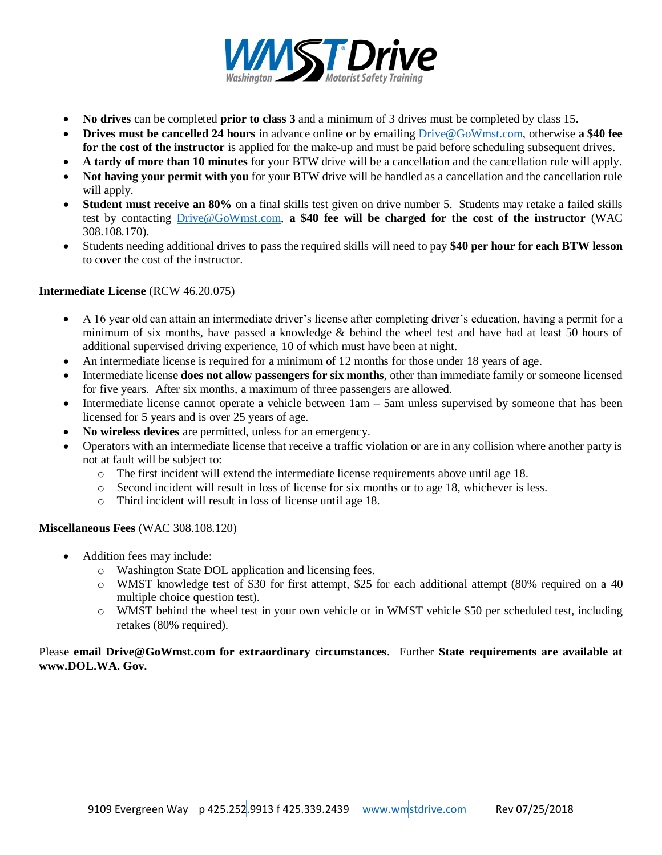

- **No drives** can be completed **prior to class 3** and a minimum of 3 drives must be completed by class 15.
- **Drives must be cancelled 24 hours** in advance online or by emailing [Drive@GoWmst.com,](mailto:Drive@GoWmst.com) otherwise **a \$40 fee for the cost of the instructor** is applied for the make-up and must be paid before scheduling subsequent drives.
- **A tardy of more than 10 minutes** for your BTW drive will be a cancellation and the cancellation rule will apply.
- **Not having your permit with you** for your BTW drive will be handled as a cancellation and the cancellation rule will apply.
- **Student must receive an 80%** on a final skills test given on drive number 5. Students may retake a failed skills test by contacting [Drive@GoWmst.com,](mailto:Drive@GoWmst.com) **a \$40 fee will be charged for the cost of the instructor** (WAC 308.108.170).
- Students needing additional drives to pass the required skills will need to pay **\$40 per hour for each BTW lesson** to cover the cost of the instructor.

## **Intermediate License** (RCW 46.20.075)

- A 16 year old can attain an intermediate driver's license after completing driver's education, having a permit for a minimum of six months, have passed a knowledge & behind the wheel test and have had at least 50 hours of additional supervised driving experience, 10 of which must have been at night.
- An intermediate license is required for a minimum of 12 months for those under 18 years of age.
- Intermediate license **does not allow passengers for six months**, other than immediate family or someone licensed for five years. After six months, a maximum of three passengers are allowed.
- Intermediate license cannot operate a vehicle between  $1am 5am$  unless supervised by someone that has been licensed for 5 years and is over 25 years of age.
- **No wireless devices** are permitted, unless for an emergency.
- Operators with an intermediate license that receive a traffic violation or are in any collision where another party is not at fault will be subject to:
	- o The first incident will extend the intermediate license requirements above until age 18.
	- o Second incident will result in loss of license for six months or to age 18, whichever is less.
	- o Third incident will result in loss of license until age 18.

#### **Miscellaneous Fees** (WAC 308.108.120)

- Addition fees may include:
	- o Washington State DOL application and licensing fees.
	- o WMST knowledge test of \$30 for first attempt, \$25 for each additional attempt (80% required on a 40 multiple choice question test).
	- o WMST behind the wheel test in your own vehicle or in WMST vehicle \$50 per scheduled test, including retakes (80% required).

## Please **email Drive@GoWmst.com for extraordinary circumstances**. Further **State requirements are available at www.DOL.WA. Gov.**